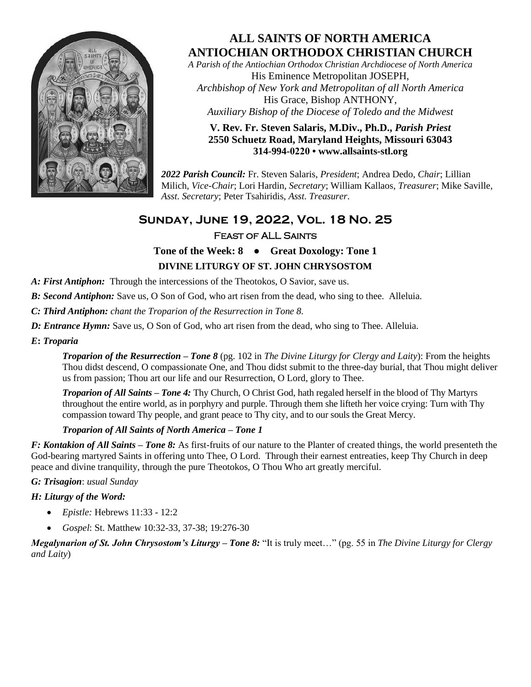

# **ALL SAINTS OF NORTH AMERICA ANTIOCHIAN ORTHODOX CHRISTIAN CHURCH**

*A Parish of the Antiochian Orthodox Christian Archdiocese of North America* His Eminence Metropolitan JOSEPH, *Archbishop of New York and Metropolitan of all North America* His Grace, Bishop ANTHONY, *Auxiliary Bishop of the Diocese of Toledo and the Midwest*

#### **V. Rev. Fr. Steven Salaris, M.Div., Ph.D.,** *Parish Priest* **2550 Schuetz Road, Maryland Heights, Missouri 63043 314-994-0220 • [www.allsaints-stl.org](http://www.allsaints-stl.org/)**

*2022 Parish Council:* Fr. Steven Salaris, *President*; Andrea Dedo, *Chair*; Lillian Milich, *Vice-Chair*; Lori Hardin, *Secretary*; William Kallaos, *Treasurer*; Mike Saville, *Asst. Secretary*; Peter Tsahiridis, *Asst. Treasurer*.

# **Sunday, June 19, 2022, Vol. 18 No. 25**Feast of ALL Saints

## **Tone of the Week: 8 ● Great Doxology: Tone 1 DIVINE LITURGY OF ST. JOHN CHRYSOSTOM**

#### *A: First Antiphon:* Through the intercessions of the Theotokos, O Savior, save us.

*B: Second Antiphon:* Save us, O Son of God, who art risen from the dead, who sing to thee. Alleluia.

*C: Third Antiphon: chant the Troparion of the Resurrection in Tone 8.*

*D: Entrance Hymn:* Save us, O Son of God, who art risen from the dead, who sing to Thee. Alleluia.

*E***:** *Troparia*

*Troparion of the Resurrection – Tone 8* (pg. 102 in *The Divine Liturgy for Clergy and Laity*): From the heights Thou didst descend, O compassionate One, and Thou didst submit to the three-day burial, that Thou might deliver us from passion; Thou art our life and our Resurrection, O Lord, glory to Thee.

*Troparion of All Saints – Tone 4:* Thy Church, O Christ God, hath regaled herself in the blood of Thy Martyrs throughout the entire world, as in porphyry and purple. Through them she lifteth her voice crying: Turn with Thy compassion toward Thy people, and grant peace to Thy city, and to our souls the Great Mercy.

#### *Troparion of All Saints of North America – Tone 1*

*F: Kontakion of All Saints – Tone 8:* As first-fruits of our nature to the Planter of created things, the world presenteth the God-bearing martyred Saints in offering unto Thee, O Lord. Through their earnest entreaties, keep Thy Church in deep peace and divine tranquility, through the pure Theotokos, O Thou Who art greatly merciful.

#### *G: Trisagion*: *usual Sunday*

#### *H: Liturgy of the Word:*

- *Epistle:* Hebrews 11:33 12:2
- *Gospel*: St. Matthew 10:32-33, 37-38; 19:276-30

*Megalynarion of St. John Chrysostom's Liturgy – Tone 8:* "It is truly meet…" (pg. 55 in *The Divine Liturgy for Clergy and Laity*)